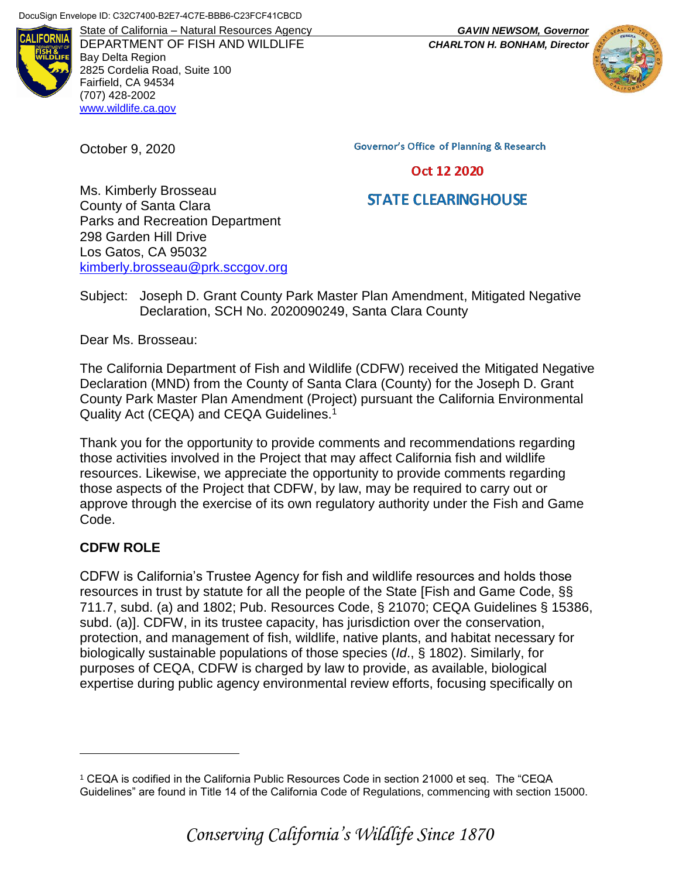

DEPARTMENT OF FISH AND WILDLIFE *CHARLTON H. BONHAM, Director* Bay Delta Region 2825 Cordelia Road, Suite 100 Fairfield, CA 94534 (707) 428-2002 [www.wildlife.ca.gov](http://www.wildlife.ca.gov/)

October 9, 2020

State of California – Natural Resources Agency *GAVIN NEWSOM, Governor*



**Governor's Office of Planning & Research** 

#### Oct 12 2020

# **STATE CLEARING HOUSE**

Ms. Kimberly Brosseau County of Santa Clara Parks and Recreation Department 298 Garden Hill Drive Los Gatos, CA 95032 [kimberly.brosseau@prk.sccgov.org](mailto:kimberly.brosseau@prk.sccgov.org)

Subject: Joseph D. Grant County Park Master Plan Amendment, Mitigated Negative Declaration, SCH No. 2020090249, Santa Clara County

Dear Ms. Brosseau:

The California Department of Fish and Wildlife (CDFW) received the Mitigated Negative Declaration (MND) from the County of Santa Clara (County) for the Joseph D. Grant County Park Master Plan Amendment (Project) pursuant the California Environmental Quality Act (CEQA) and CEQA Guidelines.<sup>1</sup>

Thank you for the opportunity to provide comments and recommendations regarding those activities involved in the Project that may affect California fish and wildlife resources. Likewise, we appreciate the opportunity to provide comments regarding those aspects of the Project that CDFW, by law, may be required to carry out or approve through the exercise of its own regulatory authority under the Fish and Game Code.

### **CDFW ROLE**

 $\overline{a}$ 

CDFW is California's Trustee Agency for fish and wildlife resources and holds those resources in trust by statute for all the people of the State [Fish and Game Code, §§ 711.7, subd. (a) and 1802; Pub. Resources Code, § 21070; CEQA Guidelines § 15386, subd. (a)]. CDFW, in its trustee capacity, has jurisdiction over the conservation, protection, and management of fish, wildlife, native plants, and habitat necessary for biologically sustainable populations of those species (*Id*., § 1802). Similarly, for purposes of CEQA, CDFW is charged by law to provide, as available, biological expertise during public agency environmental review efforts, focusing specifically on

<sup>1</sup> CEQA is codified in the California Public Resources Code in section 21000 et seq. The "CEQA Guidelines" are found in Title 14 of the California Code of Regulations, commencing with section 15000.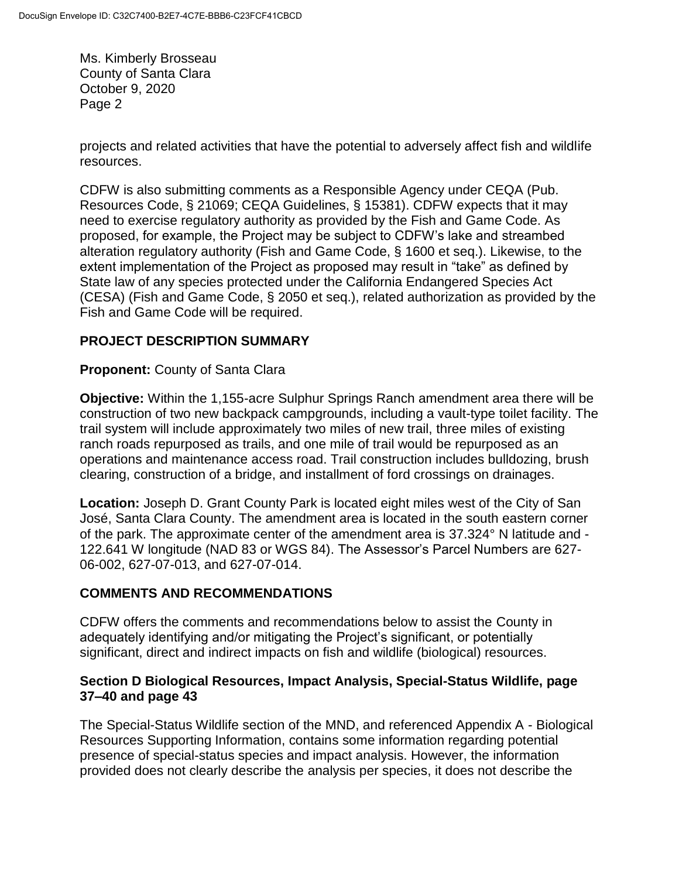projects and related activities that have the potential to adversely affect fish and wildlife resources.

CDFW is also submitting comments as a Responsible Agency under CEQA (Pub. Resources Code, § 21069; CEQA Guidelines, § 15381). CDFW expects that it may need to exercise regulatory authority as provided by the Fish and Game Code. As proposed, for example, the Project may be subject to CDFW's lake and streambed alteration regulatory authority (Fish and Game Code, § 1600 et seq.). Likewise, to the extent implementation of the Project as proposed may result in "take" as defined by State law of any species protected under the California Endangered Species Act (CESA) (Fish and Game Code, § 2050 et seq.), related authorization as provided by the Fish and Game Code will be required.

# **PROJECT DESCRIPTION SUMMARY**

**Proponent:** County of Santa Clara

**Objective:** Within the 1,155-acre Sulphur Springs Ranch amendment area there will be construction of two new backpack campgrounds, including a vault-type toilet facility. The trail system will include approximately two miles of new trail, three miles of existing ranch roads repurposed as trails, and one mile of trail would be repurposed as an operations and maintenance access road. Trail construction includes bulldozing, brush clearing, construction of a bridge, and installment of ford crossings on drainages.

**Location:** Joseph D. Grant County Park is located eight miles west of the City of San José, Santa Clara County. The amendment area is located in the south eastern corner of the park. The approximate center of the amendment area is 37.324° N latitude and - 122.641 W longitude (NAD 83 or WGS 84). The Assessor's Parcel Numbers are 627- 06-002, 627-07-013, and 627-07-014.

## **COMMENTS AND RECOMMENDATIONS**

CDFW offers the comments and recommendations below to assist the County in adequately identifying and/or mitigating the Project's significant, or potentially significant, direct and indirect impacts on fish and wildlife (biological) resources.

### **Section D Biological Resources, Impact Analysis, Special-Status Wildlife, page 37–40 and page 43**

The Special-Status Wildlife section of the MND, and referenced Appendix A - Biological Resources Supporting Information, contains some information regarding potential presence of special-status species and impact analysis. However, the information provided does not clearly describe the analysis per species, it does not describe the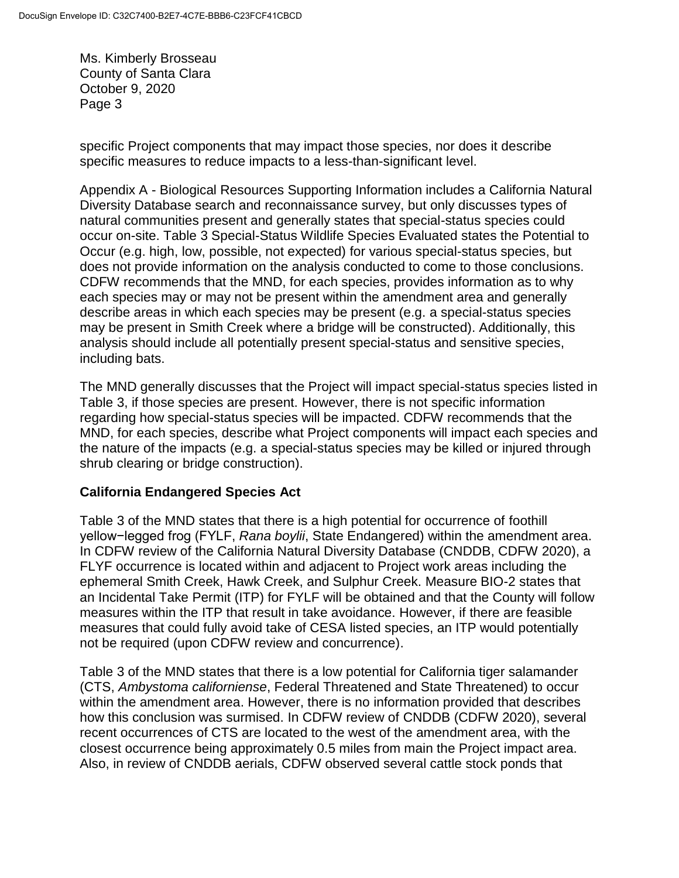specific Project components that may impact those species, nor does it describe specific measures to reduce impacts to a less-than-significant level.

Appendix A - Biological Resources Supporting Information includes a California Natural Diversity Database search and reconnaissance survey, but only discusses types of natural communities present and generally states that special-status species could occur on-site. Table 3 Special-Status Wildlife Species Evaluated states the Potential to Occur (e.g. high, low, possible, not expected) for various special-status species, but does not provide information on the analysis conducted to come to those conclusions. CDFW recommends that the MND, for each species, provides information as to why each species may or may not be present within the amendment area and generally describe areas in which each species may be present (e.g. a special-status species may be present in Smith Creek where a bridge will be constructed). Additionally, this analysis should include all potentially present special-status and sensitive species, including bats.

The MND generally discusses that the Project will impact special-status species listed in Table 3, if those species are present. However, there is not specific information regarding how special-status species will be impacted. CDFW recommends that the MND, for each species, describe what Project components will impact each species and the nature of the impacts (e.g. a special-status species may be killed or injured through shrub clearing or bridge construction).

### **California Endangered Species Act**

Table 3 of the MND states that there is a high potential for occurrence of foothill yellow−legged frog (FYLF, *Rana boylii*, State Endangered) within the amendment area. In CDFW review of the California Natural Diversity Database (CNDDB, CDFW 2020), a FLYF occurrence is located within and adjacent to Project work areas including the ephemeral Smith Creek, Hawk Creek, and Sulphur Creek. Measure BIO-2 states that an Incidental Take Permit (ITP) for FYLF will be obtained and that the County will follow measures within the ITP that result in take avoidance. However, if there are feasible measures that could fully avoid take of CESA listed species, an ITP would potentially not be required (upon CDFW review and concurrence).

Table 3 of the MND states that there is a low potential for California tiger salamander (CTS, *Ambystoma californiense*, Federal Threatened and State Threatened) to occur within the amendment area. However, there is no information provided that describes how this conclusion was surmised. In CDFW review of CNDDB (CDFW 2020), several recent occurrences of CTS are located to the west of the amendment area, with the closest occurrence being approximately 0.5 miles from main the Project impact area. Also, in review of CNDDB aerials, CDFW observed several cattle stock ponds that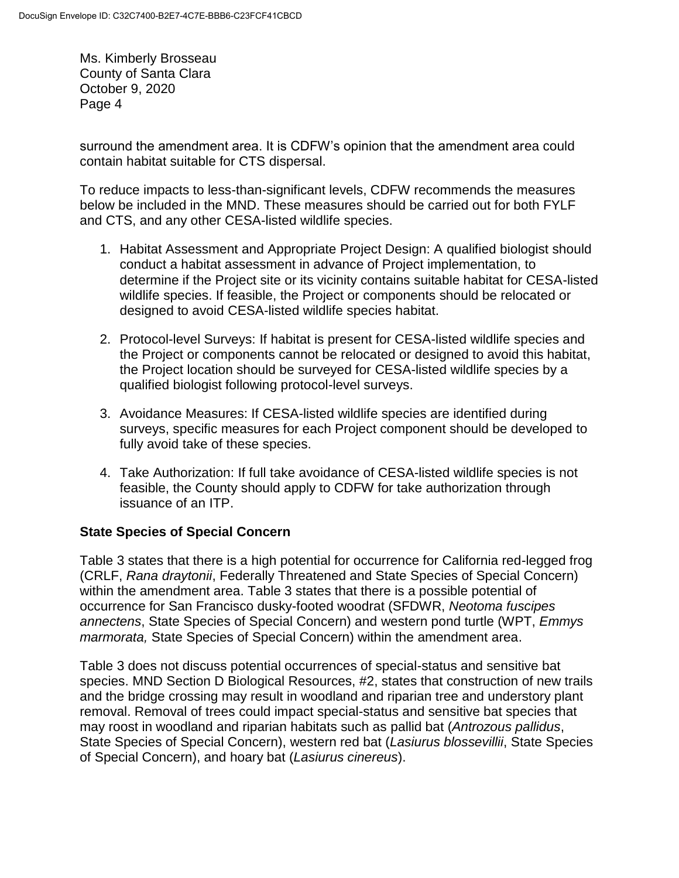surround the amendment area. It is CDFW's opinion that the amendment area could contain habitat suitable for CTS dispersal.

To reduce impacts to less-than-significant levels, CDFW recommends the measures below be included in the MND. These measures should be carried out for both FYLF and CTS, and any other CESA-listed wildlife species.

- 1. Habitat Assessment and Appropriate Project Design: A qualified biologist should conduct a habitat assessment in advance of Project implementation, to determine if the Project site or its vicinity contains suitable habitat for CESA-listed wildlife species. If feasible, the Project or components should be relocated or designed to avoid CESA-listed wildlife species habitat.
- 2. Protocol-level Surveys: If habitat is present for CESA-listed wildlife species and the Project or components cannot be relocated or designed to avoid this habitat, the Project location should be surveyed for CESA-listed wildlife species by a qualified biologist following protocol-level surveys.
- 3. Avoidance Measures: If CESA-listed wildlife species are identified during surveys, specific measures for each Project component should be developed to fully avoid take of these species.
- 4. Take Authorization: If full take avoidance of CESA-listed wildlife species is not feasible, the County should apply to CDFW for take authorization through issuance of an ITP.

## **State Species of Special Concern**

Table 3 states that there is a high potential for occurrence for California red-legged frog (CRLF, *Rana draytonii*, Federally Threatened and State Species of Special Concern) within the amendment area. Table 3 states that there is a possible potential of occurrence for San Francisco dusky-footed woodrat (SFDWR, *Neotoma fuscipes annectens*, State Species of Special Concern) and western pond turtle (WPT, *Emmys marmorata,* State Species of Special Concern) within the amendment area.

Table 3 does not discuss potential occurrences of special-status and sensitive bat species. MND Section D Biological Resources, #2, states that construction of new trails and the bridge crossing may result in woodland and riparian tree and understory plant removal. Removal of trees could impact special-status and sensitive bat species that may roost in woodland and riparian habitats such as pallid bat (*Antrozous pallidus*, State Species of Special Concern), western red bat (*Lasiurus blossevillii*, State Species of Special Concern), and hoary bat (*Lasiurus cinereus*).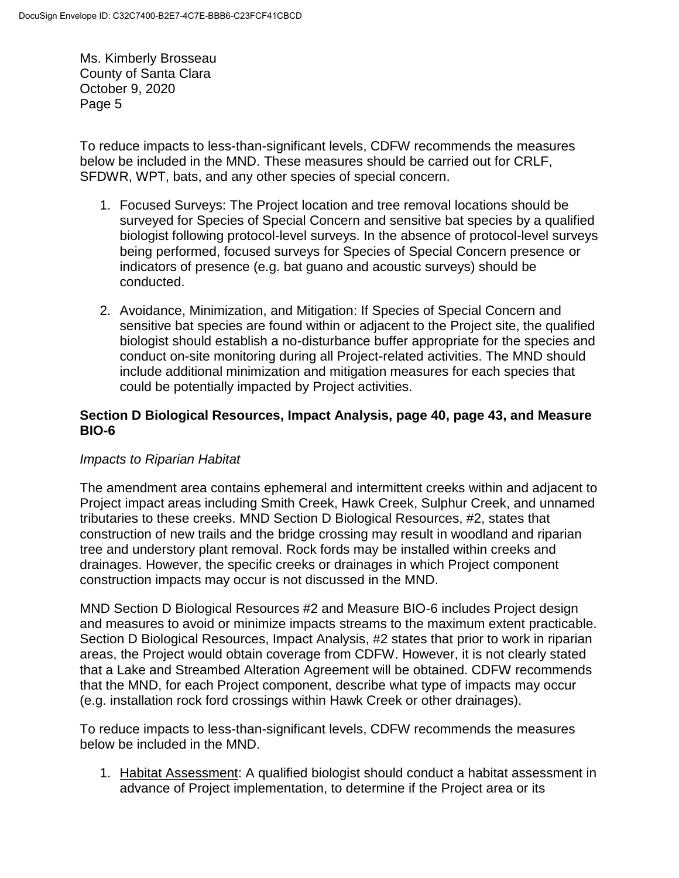To reduce impacts to less-than-significant levels, CDFW recommends the measures below be included in the MND. These measures should be carried out for CRLF, SFDWR, WPT, bats, and any other species of special concern.

- 1. Focused Surveys: The Project location and tree removal locations should be surveyed for Species of Special Concern and sensitive bat species by a qualified biologist following protocol-level surveys. In the absence of protocol-level surveys being performed, focused surveys for Species of Special Concern presence or indicators of presence (e.g. bat guano and acoustic surveys) should be conducted.
- 2. Avoidance, Minimization, and Mitigation: If Species of Special Concern and sensitive bat species are found within or adjacent to the Project site, the qualified biologist should establish a no-disturbance buffer appropriate for the species and conduct on-site monitoring during all Project-related activities. The MND should include additional minimization and mitigation measures for each species that could be potentially impacted by Project activities.

### **Section D Biological Resources, Impact Analysis, page 40, page 43, and Measure BIO-6**

## *Impacts to Riparian Habitat*

The amendment area contains ephemeral and intermittent creeks within and adjacent to Project impact areas including Smith Creek, Hawk Creek, Sulphur Creek, and unnamed tributaries to these creeks. MND Section D Biological Resources, #2, states that construction of new trails and the bridge crossing may result in woodland and riparian tree and understory plant removal. Rock fords may be installed within creeks and drainages. However, the specific creeks or drainages in which Project component construction impacts may occur is not discussed in the MND.

MND Section D Biological Resources #2 and Measure BIO-6 includes Project design and measures to avoid or minimize impacts streams to the maximum extent practicable. Section D Biological Resources, Impact Analysis, #2 states that prior to work in riparian areas, the Project would obtain coverage from CDFW. However, it is not clearly stated that a Lake and Streambed Alteration Agreement will be obtained. CDFW recommends that the MND, for each Project component, describe what type of impacts may occur (e.g. installation rock ford crossings within Hawk Creek or other drainages).

To reduce impacts to less-than-significant levels, CDFW recommends the measures below be included in the MND.

1. Habitat Assessment: A qualified biologist should conduct a habitat assessment in advance of Project implementation, to determine if the Project area or its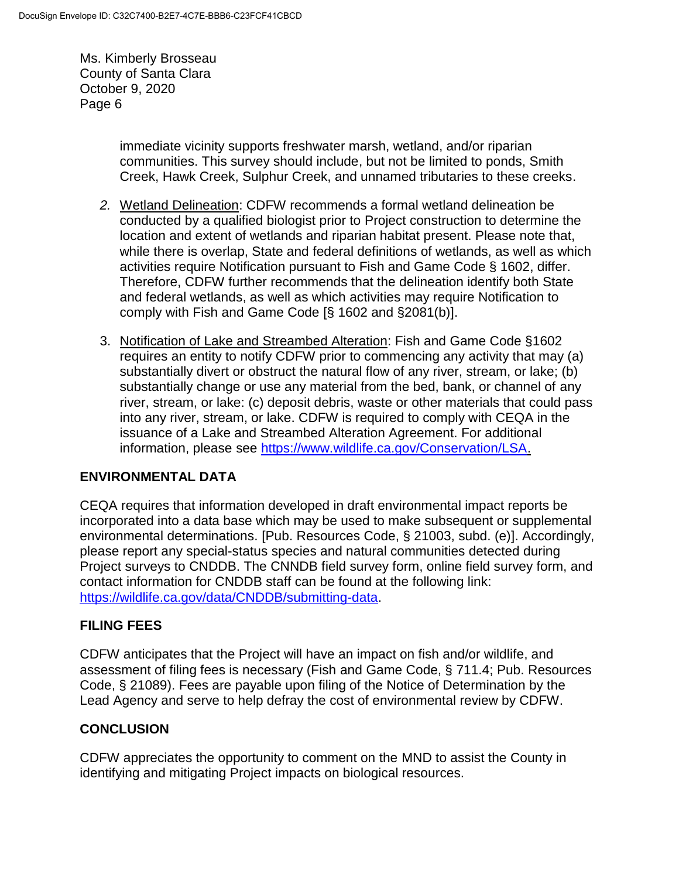> immediate vicinity supports freshwater marsh, wetland, and/or riparian communities. This survey should include, but not be limited to ponds, Smith Creek, Hawk Creek, Sulphur Creek, and unnamed tributaries to these creeks.

- *2.* Wetland Delineation: CDFW recommends a formal wetland delineation be conducted by a qualified biologist prior to Project construction to determine the location and extent of wetlands and riparian habitat present. Please note that, while there is overlap, State and federal definitions of wetlands, as well as which activities require Notification pursuant to Fish and Game Code § 1602, differ. Therefore, CDFW further recommends that the delineation identify both State and federal wetlands, as well as which activities may require Notification to comply with Fish and Game Code [§ 1602 and §2081(b)].
- 3. Notification of Lake and Streambed Alteration: Fish and Game Code §1602 requires an entity to notify CDFW prior to commencing any activity that may (a) substantially divert or obstruct the natural flow of any river, stream, or lake; (b) substantially change or use any material from the bed, bank, or channel of any river, stream, or lake: (c) deposit debris, waste or other materials that could pass into any river, stream, or lake. CDFW is required to comply with CEQA in the issuance of a Lake and Streambed Alteration Agreement. For additional information, please see [https://www.wildlife.ca.gov/Conservation/LSA.](https://www.wildlife.ca.gov/Conservation/LSA)

## **ENVIRONMENTAL DATA**

CEQA requires that information developed in draft environmental impact reports be incorporated into a data base which may be used to make subsequent or supplemental environmental determinations. [Pub. Resources Code, § 21003, subd. (e)]. Accordingly, please report any special-status species and natural communities detected during Project surveys to CNDDB. The CNNDB field survey form, online field survey form, and contact information for CNDDB staff can be found at the following link: [https://wildlife.ca.gov/data/CNDDB/submitting-data.](https://wildlife.ca.gov/data/CNDDB/submitting-data)

### **FILING FEES**

CDFW anticipates that the Project will have an impact on fish and/or wildlife, and assessment of filing fees is necessary (Fish and Game Code, § 711.4; Pub. Resources Code, § 21089). Fees are payable upon filing of the Notice of Determination by the Lead Agency and serve to help defray the cost of environmental review by CDFW.

### **CONCLUSION**

CDFW appreciates the opportunity to comment on the MND to assist the County in identifying and mitigating Project impacts on biological resources.